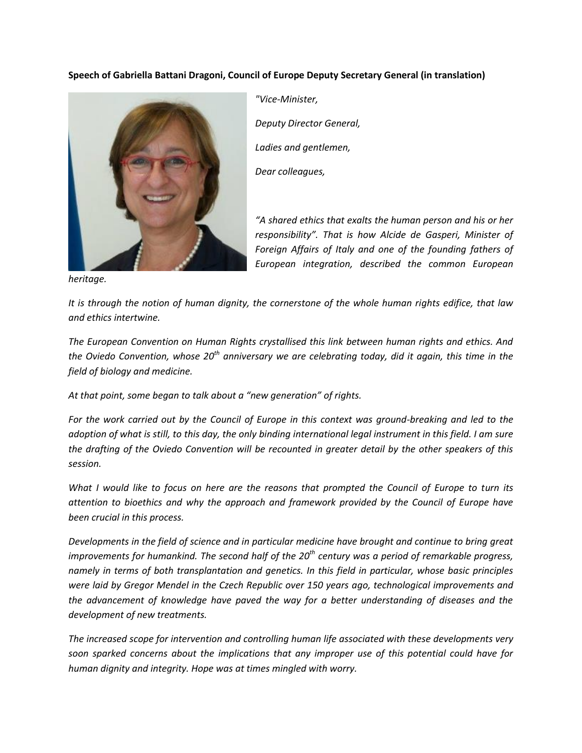**Speech of Gabriella Battani Dragoni, Council of Europe Deputy Secretary General (in translation)** 



*"Vice-Minister, Deputy Director General, Ladies and gentlemen, Dear colleagues,*

*"A shared ethics that exalts the human person and his or her responsibility". That is how Alcide de Gasperi, Minister of Foreign Affairs of Italy and one of the founding fathers of European integration, described the common European* 

*heritage.*

*It is through the notion of human dignity, the cornerstone of the whole human rights edifice, that law and ethics intertwine.*

*The European Convention on Human Rights crystallised this link between human rights and ethics. And the Oviedo Convention, whose 20th anniversary we are celebrating today, did it again, this time in the field of biology and medicine.*

*At that point, some began to talk about a "new generation" of rights.*

*For the work carried out by the Council of Europe in this context was ground-breaking and led to the adoption of what is still, to this day, the only binding international legal instrument in this field. I am sure the drafting of the Oviedo Convention will be recounted in greater detail by the other speakers of this session.*

*What I would like to focus on here are the reasons that prompted the Council of Europe to turn its attention to bioethics and why the approach and framework provided by the Council of Europe have been crucial in this process.*

*Developments in the field of science and in particular medicine have brought and continue to bring great improvements for humankind. The second half of the 20th century was a period of remarkable progress, namely in terms of both transplantation and genetics. In this field in particular, whose basic principles were laid by Gregor Mendel in the Czech Republic over 150 years ago, technological improvements and the advancement of knowledge have paved the way for a better understanding of diseases and the development of new treatments.*

*The increased scope for intervention and controlling human life associated with these developments very soon sparked concerns about the implications that any improper use of this potential could have for human dignity and integrity. Hope was at times mingled with worry.*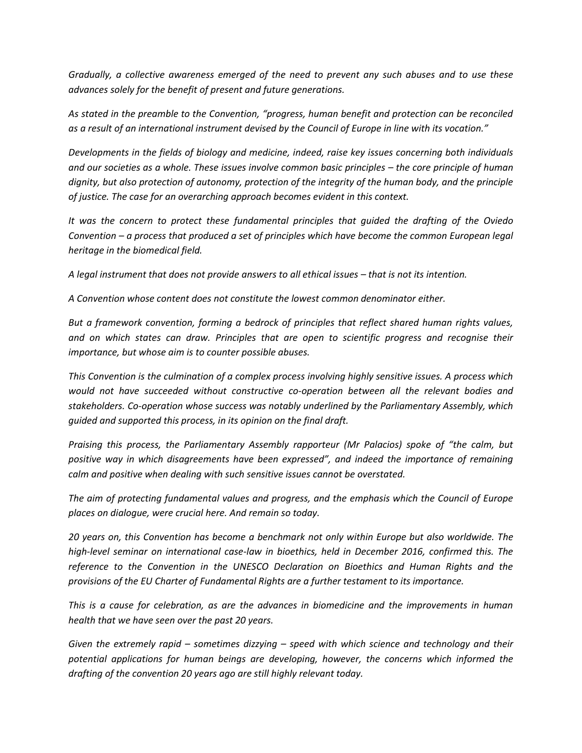*Gradually, a collective awareness emerged of the need to prevent any such abuses and to use these advances solely for the benefit of present and future generations.*

*As stated in the preamble to the Convention, "progress, human benefit and protection can be reconciled as a result of an international instrument devised by the Council of Europe in line with its vocation."*

*Developments in the fields of biology and medicine, indeed, raise key issues concerning both individuals*  and our societies as a whole. These issues involve common basic principles – the core principle of human *dignity, but also protection of autonomy, protection of the integrity of the human body, and the principle of justice. The case for an overarching approach becomes evident in this context.* 

*It was the concern to protect these fundamental principles that guided the drafting of the Oviedo Convention – a process that produced a set of principles which have become the common European legal heritage in the biomedical field.*

*A legal instrument that does not provide answers to all ethical issues – that is not its intention.*

*A Convention whose content does not constitute the lowest common denominator either.*

*But a framework convention, forming a bedrock of principles that reflect shared human rights values, and on which states can draw. Principles that are open to scientific progress and recognise their importance, but whose aim is to counter possible abuses.*

*This Convention is the culmination of a complex process involving highly sensitive issues. A process which would not have succeeded without constructive co-operation between all the relevant bodies and stakeholders. Co-operation whose success was notably underlined by the Parliamentary Assembly, which guided and supported this process, in its opinion on the final draft.*

*Praising this process, the Parliamentary Assembly rapporteur (Mr Palacios) spoke of "the calm, but positive way in which disagreements have been expressed", and indeed the importance of remaining calm and positive when dealing with such sensitive issues cannot be overstated.* 

*The aim of protecting fundamental values and progress, and the emphasis which the Council of Europe places on dialogue, were crucial here. And remain so today.*

*20 years on, this Convention has become a benchmark not only within Europe but also worldwide. The high-level seminar on international case-law in bioethics, held in December 2016, confirmed this. The reference to the Convention in the UNESCO Declaration on Bioethics and Human Rights and the provisions of the EU Charter of Fundamental Rights are a further testament to its importance.*

*This is a cause for celebration, as are the advances in biomedicine and the improvements in human health that we have seen over the past 20 years.*

*Given the extremely rapid – sometimes dizzying – speed with which science and technology and their potential applications for human beings are developing, however, the concerns which informed the drafting of the convention 20 years ago are still highly relevant today.*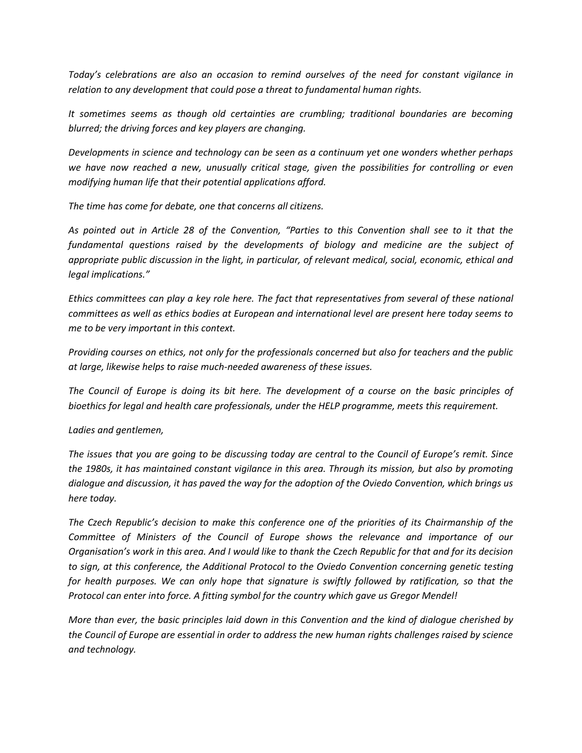*Today's celebrations are also an occasion to remind ourselves of the need for constant vigilance in relation to any development that could pose a threat to fundamental human rights.*

*It sometimes seems as though old certainties are crumbling; traditional boundaries are becoming blurred; the driving forces and key players are changing.*

*Developments in science and technology can be seen as a continuum yet one wonders whether perhaps we have now reached a new, unusually critical stage, given the possibilities for controlling or even modifying human life that their potential applications afford.*

*The time has come for debate, one that concerns all citizens.*

*As pointed out in Article 28 of the Convention, "Parties to this Convention shall see to it that the fundamental questions raised by the developments of biology and medicine are the subject of appropriate public discussion in the light, in particular, of relevant medical, social, economic, ethical and legal implications."*

*Ethics committees can play a key role here. The fact that representatives from several of these national committees as well as ethics bodies at European and international level are present here today seems to me to be very important in this context.*

*Providing courses on ethics, not only for the professionals concerned but also for teachers and the public at large, likewise helps to raise much-needed awareness of these issues.*

*The Council of Europe is doing its bit here. The development of a course on the basic principles of bioethics for legal and health care professionals, under the HELP programme, meets this requirement.*

*Ladies and gentlemen,*

*The issues that you are going to be discussing today are central to the Council of Europe's remit. Since the 1980s, it has maintained constant vigilance in this area. Through its mission, but also by promoting dialogue and discussion, it has paved the way for the adoption of the Oviedo Convention, which brings us here today.*

*The Czech Republic's decision to make this conference one of the priorities of its Chairmanship of the Committee of Ministers of the Council of Europe shows the relevance and importance of our Organisation's work in this area. And I would like to thank the Czech Republic for that and for its decision to sign, at this conference, the Additional Protocol to the Oviedo Convention concerning genetic testing for health purposes. We can only hope that signature is swiftly followed by ratification, so that the Protocol can enter into force. A fitting symbol for the country which gave us Gregor Mendel!*

*More than ever, the basic principles laid down in this Convention and the kind of dialogue cherished by the Council of Europe are essential in order to address the new human rights challenges raised by science and technology.*